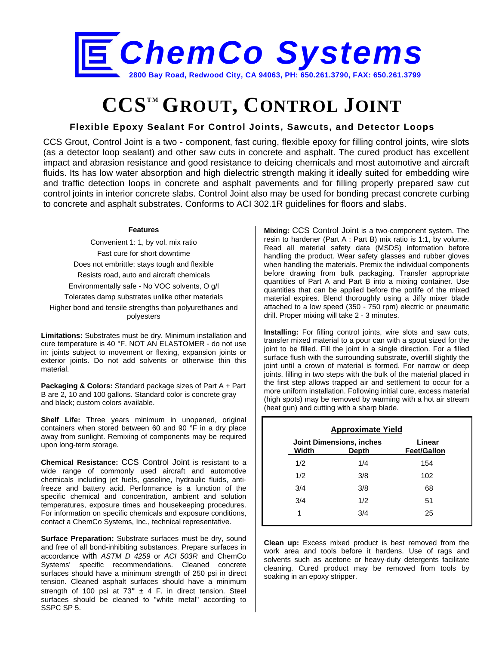

# **CCSTM GROUT, CONTROL JOINT**

## **Flexible Epoxy Sealant For Control Joints, Sawcuts, and Detector Loops**

CCS Grout, Control Joint is a two - component, fast curing, flexible epoxy for filling control joints, wire slots (as a detector loop sealant) and other saw cuts in concrete and asphalt. The cured product has excellent impact and abrasion resistance and good resistance to deicing chemicals and most automotive and aircraft fluids. Its has low water absorption and high dielectric strength making it ideally suited for embedding wire and traffic detection loops in concrete and asphalt pavements and for filling properly prepared saw cut control joints in interior concrete slabs. Control Joint also may be used for bonding precast concrete curbing to concrete and asphalt substrates. Conforms to ACI 302.1R guidelines for floors and slabs.

#### **Features**

Convenient 1: 1, by vol. mix ratio Fast cure for short downtime Does not embrittle; stays tough and flexible Resists road, auto and aircraft chemicals Environmentally safe - No VOC solvents, O g/l Tolerates damp substrates unlike other materials Higher bond and tensile strengths than polyurethanes and polyesters

**Limitations:** Substrates must be dry. Minimum installation and cure temperature is 40 °F. NOT AN ELASTOMER - do not use in: joints subject to movement or flexing, expansion joints or exterior joints. Do not add solvents or otherwise thin this material.

**Packaging & Colors:** Standard package sizes of Part A + Part B are 2, 10 and 100 gallons. Standard color is concrete gray and black; custom colors available.

**Shelf Life:** Three years minimum in unopened, original containers when stored between 60 and 90 °F in a dry place away from sunlight. Remixing of components may be required upon long-term storage.

**Chemical Resistance:** CCS Control Joint is resistant to a wide range of commonly used aircraft and automotive chemicals including jet fuels, gasoline, hydraulic fluids, antifreeze and battery acid. Performance is a function of the specific chemical and concentration, ambient and solution temperatures, exposure times and housekeeping procedures. For information on specific chemicals and exposure conditions, contact a ChemCo Systems, Inc., technical representative.

**Surface Preparation:** Substrate surfaces must be dry, sound and free of all bond-inhibiting substances. Prepare surfaces in accordance with *ASTM D 4259* or *ACI 503R* and ChemCo Systems' specific recommendations. Cleaned concrete surfaces should have a minimum strength of 250 psi in direct tension. Cleaned asphalt surfaces should have a minimum strength of 100 psi at 73**°** ± 4 F. in direct tension. Steel surfaces should be cleaned to "white metal" according to SSPC SP 5.

**Mixing:** CCS Control Joint is a two-component system. The resin to hardener (Part A : Part B) mix ratio is 1:1, by volume. Read all material safety data (MSDS) information before handling the product. Wear safety glasses and rubber gloves when handling the materials. Premix the individual components before drawing from bulk packaging. Transfer appropriate quantities of Part A and Part B into a mixing container. Use quantities that can be applied before the potlife of the mixed material expires. Blend thoroughly using a Jiffy mixer blade attached to a low speed (350 - 750 rpm) electric or pneumatic drill. Proper mixing will take 2 - 3 minutes.

**Installing:** For filling control joints, wire slots and saw cuts, transfer mixed material to a pour can with a spout sized for the joint to be filled. Fill the joint in a single direction. For a filled surface flush with the surrounding substrate, overfill slightly the joint until a crown of material is formed. For narrow or deep joints, filling in two steps with the bulk of the material placed in the first step allows trapped air and settlement to occur for a more uniform installation. Following initial cure, excess material (high spots) may be removed by warming with a hot air stream (heat gun) and cutting with a sharp blade.

| <b>Approximate Yield</b> |                                          |                              |  |  |
|--------------------------|------------------------------------------|------------------------------|--|--|
| Width                    | <b>Joint Dimensions, inches</b><br>Depth | Linear<br><b>Feet/Gallon</b> |  |  |
| 1/2                      | 1/4                                      | 154                          |  |  |
| 1/2                      | 3/8                                      | 102                          |  |  |
| 3/4                      | 3/8                                      | 68                           |  |  |
| 3/4                      | 1/2                                      | 51                           |  |  |
| 1                        | 3/4                                      | 25                           |  |  |

**Clean up:** Excess mixed product is best removed from the work area and tools before it hardens. Use of rags and solvents such as acetone or heavy-duty detergents facilitate cleaning. Cured product may be removed from tools by soaking in an epoxy stripper.